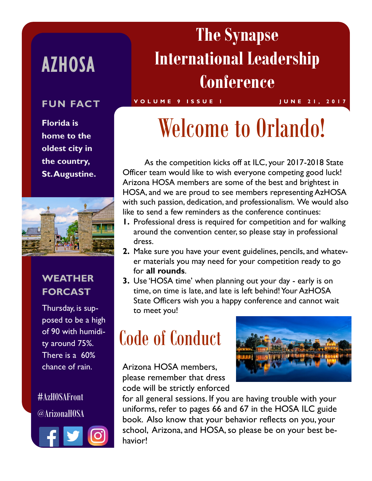### AZHOSA

**Florida is home to the oldest city in the country, St. Augustine.** 



#### **WEATHER FORCAST**

Thursday, is supposed to be a high of 90 with humidity around 75%. There is a 60% chance of rain.

#AzHOSAFront @ArizonaHOSA



### **The Synapse International Leadership Conference**

#### **FUN FACT** VOLUME 9 ISSUE I JUNE 21, 2017

## Welcome to Orlando!

As the competition kicks off at ILC, your 2017-2018 State Officer team would like to wish everyone competing good luck! Arizona HOSA members are some of the best and brightest in HOSA, and we are proud to see members representing AzHOSA with such passion, dedication, and professionalism. We would also like to send a few reminders as the conference continues:

- **1.** Professional dress is required for competition and for walking around the convention center, so please stay in professional dress.
- **2.** Make sure you have your event guidelines, pencils, and whatever materials you may need for your competition ready to go for **all rounds**.
- **3.** Use 'HOSA time' when planning out your day early is on time, on time is late, and late is left behind! Your AzHOSA State Officers wish you a happy conference and cannot wait to meet you!

## Code of Conduct

Arizona HOSA members, please remember that dress code will be strictly enforced



for all general sessions. If you are having trouble with your uniforms, refer to pages 66 and 67 in the HOSA ILC guide book. Also know that your behavior reflects on you, your school, Arizona, and HOSA, so please be on your best behavior!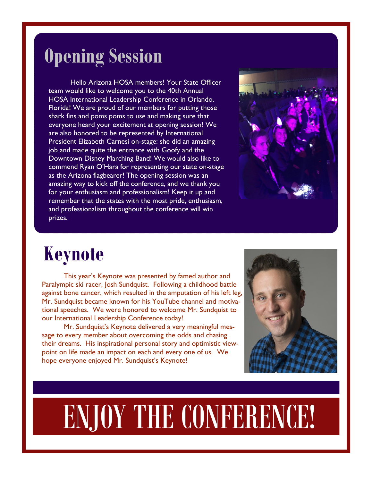#### **Opening Session**

Hello Arizona HOSA members! Your State Officer team would like to welcome you to the 40th Annual HOSA International Leadership Conference in Orlando, Florida! We are proud of our members for putting those shark fins and poms poms to use and making sure that everyone heard your excitement at opening session! We are also honored to be represented by International President Elizabeth Carnesi on-stage: she did an amazing job and made quite the entrance with Goofy and the Downtown Disney Marching Band! We would also like to commend Ryan O'Hara for representing our state on-stage as the Arizona flagbearer! The opening session was an amazing way to kick off the conference, and we thank you for your enthusiasm and professionalism! Keep it up and remember that the states with the most pride, enthusiasm, and professionalism throughout the conference will win prizes.



#### **Keynote**

This year's Keynote was presented by famed author and Paralympic ski racer, Josh Sundquist. Following a childhood battle against bone cancer, which resulted in the amputation of his left leg, Mr. Sundquist became known for his YouTube channel and motivational speeches. We were honored to welcome Mr. Sundquist to our International Leadership Conference today!

Mr. Sundquist's Keynote delivered a very meaningful message to every member about overcoming the odds and chasing their dreams. His inspirational personal story and optimistic viewpoint on life made an impact on each and every one of us. We hope everyone enjoyed Mr. Sundquist's Keynote!



# ENJOY THE CONFERENCE!